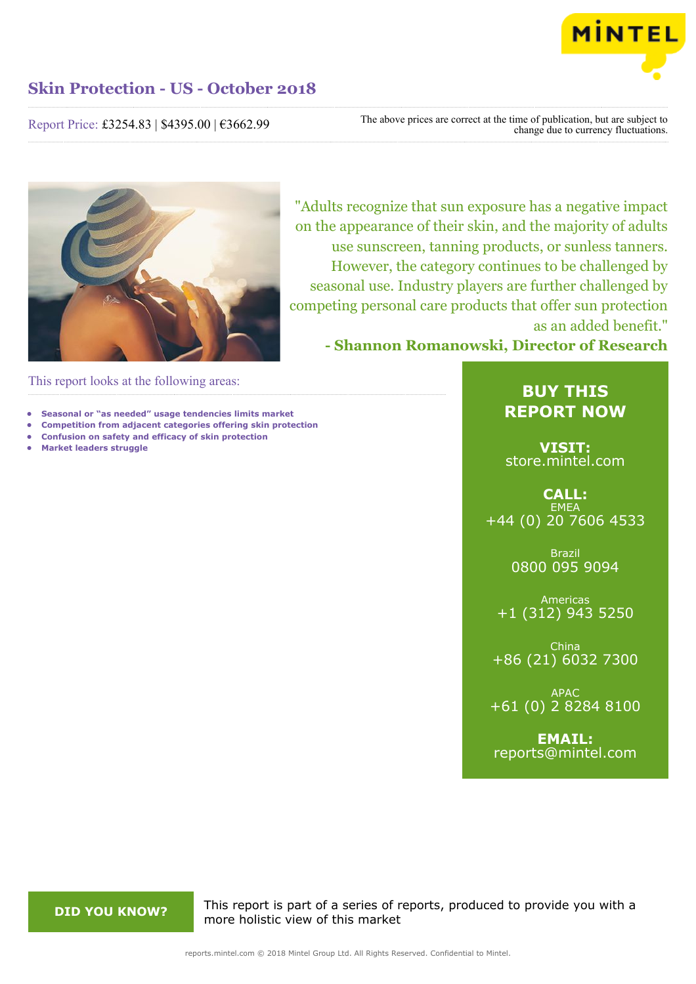

### Report Price: £3254.83 | \$4395.00 | €3662.99

The above prices are correct at the time of publication, but are subject to change due to currency fluctuations.



"Adults recognize that sun exposure has a negative impact on the appearance of their skin, and the majority of adults use sunscreen, tanning products, or sunless tanners. However, the category continues to be challenged by seasonal use. Industry players are further challenged by competing personal care products that offer sun protection as an added benefit."

**- Shannon Romanowski, Director of Research**

This report looks at the following areas:

- **• Seasonal or "as needed" usage tendencies limits market**
- **• Competition from adjacent categories offering skin protection**
- **• Confusion on safety and efficacy of skin protection**
- **• Market leaders struggle**

### **BUY THIS REPORT NOW**

**VISIT:** [store.mintel.com](http://reports.mintel.com//display/store/860835/)

**CALL: EMEA** +44 (0) 20 7606 4533

> Brazil 0800 095 9094

Americas +1 (312) 943 5250

China +86 (21) 6032 7300

APAC +61 (0) 2 8284 8100

**EMAIL:** [reports@mintel.com](mailto:reports@mintel.com)

**DID YOU KNOW?** This report is part of a series of reports, produced to provide you with a more holistic view of this market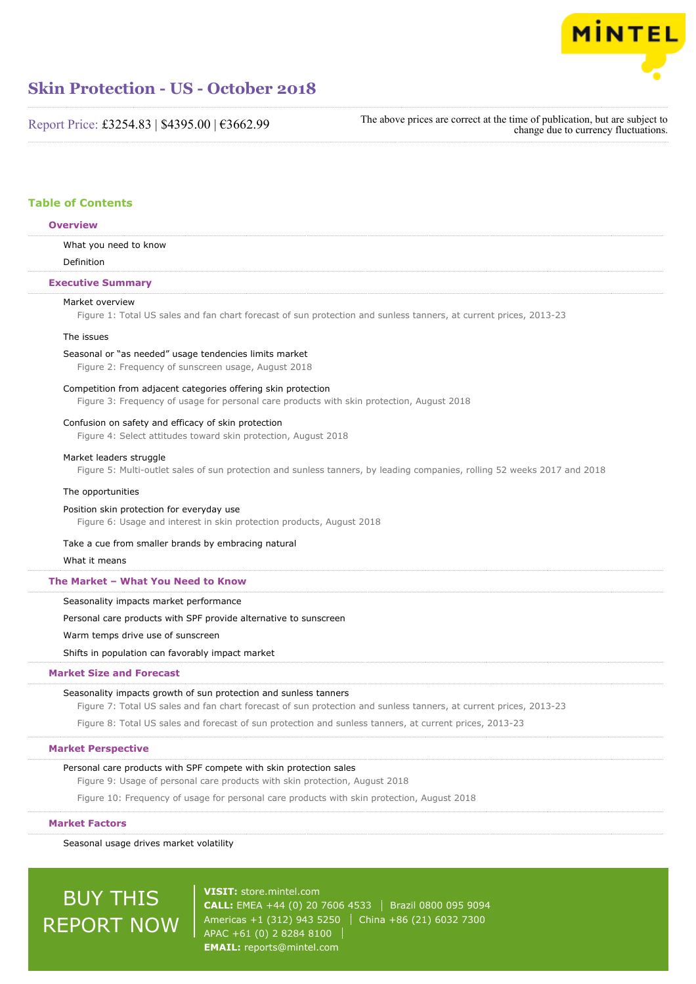

Report Price: £3254.83 | \$4395.00 | €3662.99

The above prices are correct at the time of publication, but are subject to change due to currency fluctuations.

#### **Table of Contents**

### What you need to know Definition Market overview Figure 1: Total US sales and fan chart forecast of sun protection and sunless tanners, at current prices, 2013-23 The issues Seasonal or "as needed" usage tendencies limits market Figure 2: Frequency of sunscreen usage, August 2018 Competition from adjacent categories offering skin protection Figure 3: Frequency of usage for personal care products with skin protection, August 2018 Confusion on safety and efficacy of skin protection Figure 4: Select attitudes toward skin protection, August 2018 Market leaders struggle Figure 5: Multi-outlet sales of sun protection and sunless tanners, by leading companies, rolling 52 weeks 2017 and 2018 The opportunities Position skin protection for everyday use Figure 6: Usage and interest in skin protection products, August 2018 Take a cue from smaller brands by embracing natural What it means Seasonality impacts market performance Personal care products with SPF provide alternative to sunscreen Warm temps drive use of sunscreen Shifts in population can favorably impact market Seasonality impacts growth of sun protection and sunless tanners Figure 7: Total US sales and fan chart forecast of sun protection and sunless tanners, at current prices, 2013-23 Figure 8: Total US sales and forecast of sun protection and sunless tanners, at current prices, 2013-23 **Overview Executive Summary The Market – What You Need to Know Market Size and Forecast**

#### **Market Perspective**

#### Personal care products with SPF compete with skin protection sales

Figure 9: Usage of personal care products with skin protection, August 2018

Figure 10: Frequency of usage for personal care products with skin protection, August 2018

#### **Market Factors**

Seasonal usage drives market volatility

# BUY THIS REPORT NOW

**VISIT:** [store.mintel.com](http://reports.mintel.com//display/store/860835/) **CALL:** EMEA +44 (0) 20 7606 4533 Brazil 0800 095 9094 Americas +1 (312) 943 5250 | China +86 (21) 6032 7300 APAC +61 (0) 2 8284 8100 **EMAIL:** [reports@mintel.com](mailto:reports@mintel.com)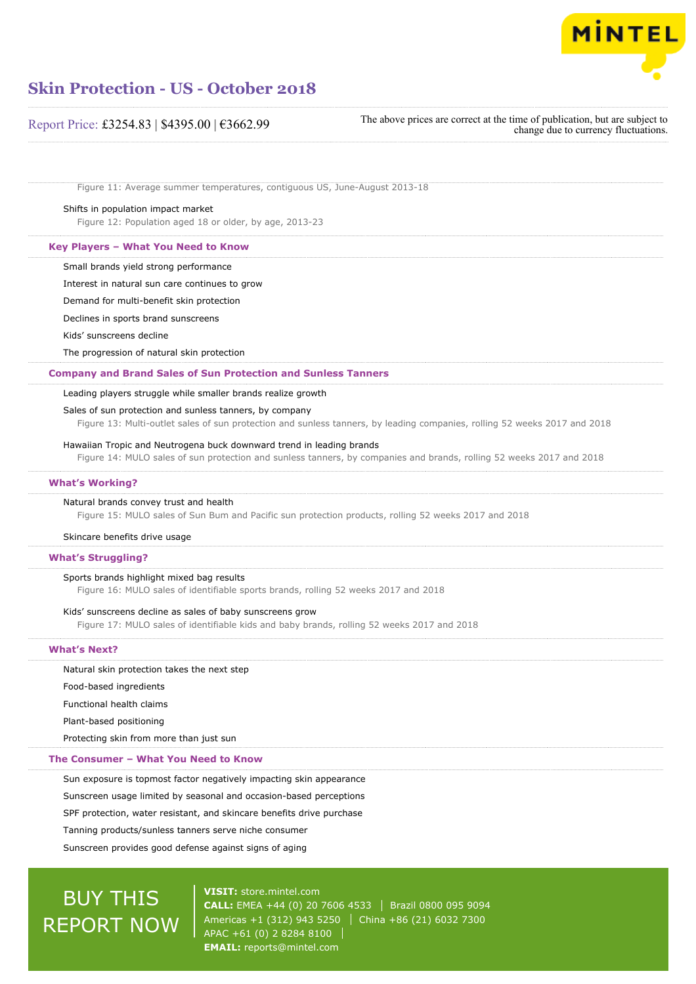

#### Report Price: £3254.83 | \$4395.00 | €3662.99

The above prices are correct at the time of publication, but are subject to change due to currency fluctuations.

Figure 11: Average summer temperatures, contiguous US, June-August 2013-18

#### Shifts in population impact market

Figure 12: Population aged 18 or older, by age, 2013-23

#### **Key Players – What You Need to Know**

Small brands yield strong performance

Interest in natural sun care continues to grow

Demand for multi-benefit skin protection

Declines in sports brand sunscreens

Kids' sunscreens decline

The progression of natural skin protection

#### **Company and Brand Sales of Sun Protection and Sunless Tanners**

#### Leading players struggle while smaller brands realize growth

#### Sales of sun protection and sunless tanners, by company

Figure 13: Multi-outlet sales of sun protection and sunless tanners, by leading companies, rolling 52 weeks 2017 and 2018

#### Hawaiian Tropic and Neutrogena buck downward trend in leading brands

Figure 14: MULO sales of sun protection and sunless tanners, by companies and brands, rolling 52 weeks 2017 and 2018

#### **What's Working?**

#### Natural brands convey trust and health

Figure 15: MULO sales of Sun Bum and Pacific sun protection products, rolling 52 weeks 2017 and 2018

#### Skincare benefits drive usage

#### **What's Struggling?**

#### Sports brands highlight mixed bag results

Figure 16: MULO sales of identifiable sports brands, rolling 52 weeks 2017 and 2018

#### Kids' sunscreens decline as sales of baby sunscreens grow

Figure 17: MULO sales of identifiable kids and baby brands, rolling 52 weeks 2017 and 2018

#### **What's Next?**

#### Natural skin protection takes the next step

Food-based ingredients

Functional health claims

Plant-based positioning

Protecting skin from more than just sun

#### **The Consumer – What You Need to Know**

Sun exposure is topmost factor negatively impacting skin appearance

Sunscreen usage limited by seasonal and occasion-based perceptions

SPF protection, water resistant, and skincare benefits drive purchase

Tanning products/sunless tanners serve niche consumer

Sunscreen provides good defense against signs of aging

## BUY THIS REPORT NOW

**VISIT:** [store.mintel.com](http://reports.mintel.com//display/store/860835/) **CALL:** EMEA +44 (0) 20 7606 4533 Brazil 0800 095 9094 Americas +1 (312) 943 5250 | China +86 (21) 6032 7300 APAC +61 (0) 2 8284 8100 **EMAIL:** [reports@mintel.com](mailto:reports@mintel.com)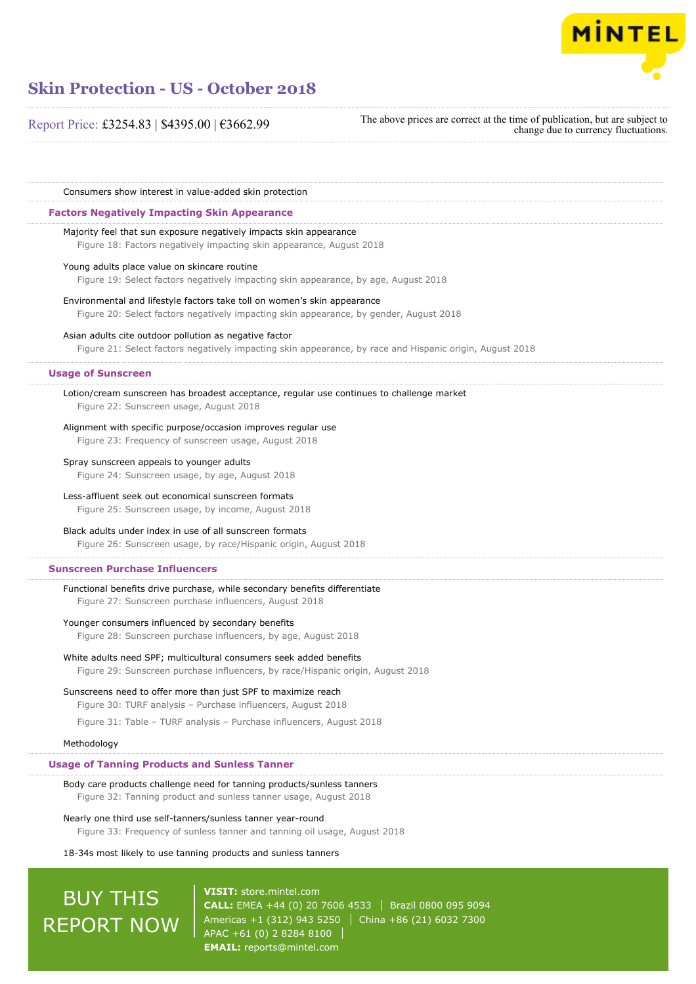

Report Price: £3254.83 | \$4395.00 | €3662.99

The above prices are correct at the time of publication, but are subject to change due to currency fluctuations.

Consumers show interest in value-added skin protection

#### **Factors Negatively Impacting Skin Appearance**

Majority feel that sun exposure negatively impacts skin appearance

Figure 18: Factors negatively impacting skin appearance, August 2018

#### Young adults place value on skincare routine

Figure 19: Select factors negatively impacting skin appearance, by age, August 2018

Environmental and lifestyle factors take toll on women's skin appearance Figure 20: Select factors negatively impacting skin appearance, by gender, August 2018

#### Asian adults cite outdoor pollution as negative factor

Figure 21: Select factors negatively impacting skin appearance, by race and Hispanic origin, August 2018

#### **Usage of Sunscreen**

Lotion/cream sunscreen has broadest acceptance, regular use continues to challenge market Figure 22: Sunscreen usage, August 2018

#### Alignment with specific purpose/occasion improves regular use

Figure 23: Frequency of sunscreen usage, August 2018

#### Spray sunscreen appeals to younger adults

Figure 24: Sunscreen usage, by age, August 2018

#### Less-affluent seek out economical sunscreen formats

Figure 25: Sunscreen usage, by income, August 2018

#### Black adults under index in use of all sunscreen formats

Figure 26: Sunscreen usage, by race/Hispanic origin, August 2018

#### **Sunscreen Purchase Influencers**

#### Functional benefits drive purchase, while secondary benefits differentiate

Figure 27: Sunscreen purchase influencers, August 2018

#### Younger consumers influenced by secondary benefits

Figure 28: Sunscreen purchase influencers, by age, August 2018

#### White adults need SPF; multicultural consumers seek added benefits Figure 29: Sunscreen purchase influencers, by race/Hispanic origin, August 2018

Sunscreens need to offer more than just SPF to maximize reach Figure 30: TURF analysis – Purchase influencers, August 2018

Figure 31: Table – TURF analysis – Purchase influencers, August 2018

#### Methodology

#### **Usage of Tanning Products and Sunless Tanner**

Body care products challenge need for tanning products/sunless tanners Figure 32: Tanning product and sunless tanner usage, August 2018

#### Nearly one third use self-tanners/sunless tanner year-round

Figure 33: Frequency of sunless tanner and tanning oil usage, August 2018

#### 18-34s most likely to use tanning products and sunless tanners

## BUY THIS REPORT NOW

**VISIT:** [store.mintel.com](http://reports.mintel.com//display/store/860835/) **CALL:** EMEA +44 (0) 20 7606 4533 Brazil 0800 095 9094 Americas +1 (312) 943 5250 China +86 (21) 6032 7300 APAC +61 (0) 2 8284 8100 **EMAIL:** [reports@mintel.com](mailto:reports@mintel.com)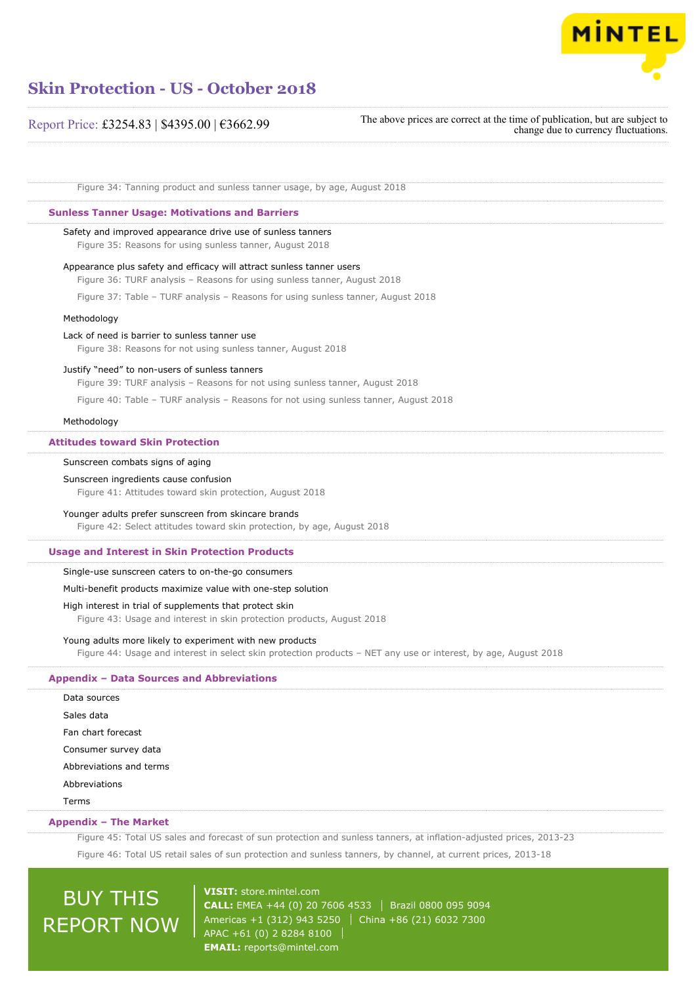

#### Report Price: £3254.83 | \$4395.00 | €3662.99

The above prices are correct at the time of publication, but are subject to change due to currency fluctuations.

Figure 34: Tanning product and sunless tanner usage, by age, August 2018

#### **Sunless Tanner Usage: Motivations and Barriers**

#### Safety and improved appearance drive use of sunless tanners

Figure 35: Reasons for using sunless tanner, August 2018

#### Appearance plus safety and efficacy will attract sunless tanner users

Figure 36: TURF analysis – Reasons for using sunless tanner, August 2018

Figure 37: Table – TURF analysis – Reasons for using sunless tanner, August 2018

#### Methodology

#### Lack of need is barrier to sunless tanner use

Figure 38: Reasons for not using sunless tanner, August 2018

#### Justify "need" to non-users of sunless tanners

Figure 39: TURF analysis – Reasons for not using sunless tanner, August 2018

Figure 40: Table – TURF analysis – Reasons for not using sunless tanner, August 2018

#### Methodology

#### **Attitudes toward Skin Protection**

#### Sunscreen combats signs of aging

#### Sunscreen ingredients cause confusion

Figure 41: Attitudes toward skin protection, August 2018

#### Younger adults prefer sunscreen from skincare brands

Figure 42: Select attitudes toward skin protection, by age, August 2018

#### **Usage and Interest in Skin Protection Products**

#### Single-use sunscreen caters to on-the-go consumers

#### Multi-benefit products maximize value with one-step solution

#### High interest in trial of supplements that protect skin

Figure 43: Usage and interest in skin protection products, August 2018

#### Young adults more likely to experiment with new products

Figure 44: Usage and interest in select skin protection products – NET any use or interest, by age, August 2018

#### **Appendix – Data Sources and Abbreviations**

| Data sources            |
|-------------------------|
| Sales data              |
| Fan chart forecast      |
| Consumer survey data    |
| Abbreviations and terms |
| Abbreviations           |
| Terms                   |

#### **Appendix – The Market**

Figure 45: Total US sales and forecast of sun protection and sunless tanners, at inflation-adjusted prices, 2013-23

Figure 46: Total US retail sales of sun protection and sunless tanners, by channel, at current prices, 2013-18

# BUY THIS REPORT NOW

**VISIT:** [store.mintel.com](http://reports.mintel.com//display/store/860835/) **CALL:** EMEA +44 (0) 20 7606 4533 Brazil 0800 095 9094 Americas +1 (312) 943 5250 | China +86 (21) 6032 7300 APAC +61 (0) 2 8284 8100 **EMAIL:** [reports@mintel.com](mailto:reports@mintel.com)